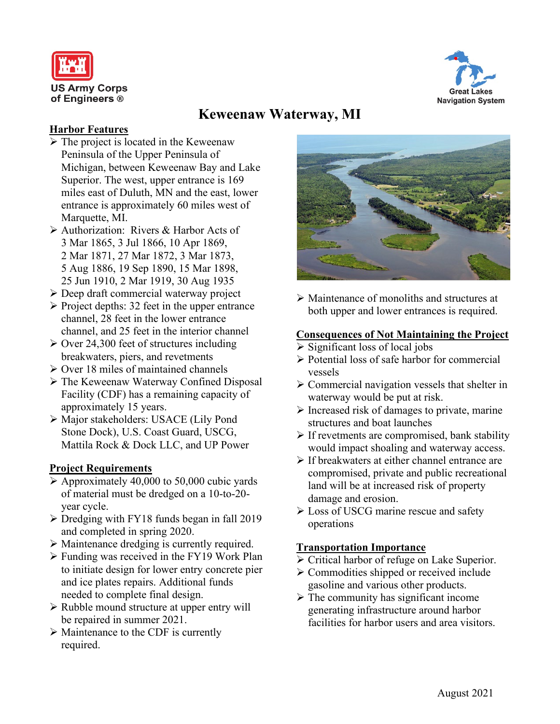



# **Keweenaw Waterway, MI**

## **Harbor Features**

- $\triangleright$  The project is located in the Keweenaw Peninsula of the Upper Peninsula of Michigan, between Keweenaw Bay and Lake Superior. The west, upper entrance is 169 miles east of Duluth, MN and the east, lower entrance is approximately 60 miles west of Marquette, MI.
- Authorization: Rivers & Harbor Acts of 3 Mar 1865, 3 Jul 1866, 10 Apr 1869, 2 Mar 1871, 27 Mar 1872, 3 Mar 1873, 5 Aug 1886, 19 Sep 1890, 15 Mar 1898, 25 Jun 1910, 2 Mar 1919, 30 Aug 1935
- Deep draft commercial waterway project
- $\triangleright$  Project depths: 32 feet in the upper entrance channel, 28 feet in the lower entrance channel, and 25 feet in the interior channel
- $\geq$  Over 24,300 feet of structures including breakwaters, piers, and revetments
- $\geq$  Over 18 miles of maintained channels
- The Keweenaw Waterway Confined Disposal Facility (CDF) has a remaining capacity of approximately 15 years.
- Major stakeholders: USACE (Lily Pond Stone Dock), U.S. Coast Guard, USCG, Mattila Rock & Dock LLC, and UP Power

## **Project Requirements**

- $\triangleright$  Approximately 40,000 to 50,000 cubic yards of material must be dredged on a 10-to-20 year cycle.
- > Dredging with FY18 funds began in fall 2019 and completed in spring 2020.
- Maintenance dredging is currently required.
- $\triangleright$  Funding was received in the FY19 Work Plan to initiate design for lower entry concrete pier and ice plates repairs. Additional funds needed to complete final design.
- $\triangleright$  Rubble mound structure at upper entry will be repaired in summer 2021.
- $\triangleright$  Maintenance to the CDF is currently required.



 Maintenance of monoliths and structures at both upper and lower entrances is required.

## **Consequences of Not Maintaining the Project**

- $\triangleright$  Significant loss of local jobs
- $\triangleright$  Potential loss of safe harbor for commercial vessels
- $\triangleright$  Commercial navigation vessels that shelter in waterway would be put at risk.
- $\triangleright$  Increased risk of damages to private, marine structures and boat launches
- $\triangleright$  If revetments are compromised, bank stability would impact shoaling and waterway access.
- $\triangleright$  If breakwaters at either channel entrance are compromised, private and public recreational land will be at increased risk of property damage and erosion.
- **Example 1** Loss of USCG marine rescue and safety operations

## **Transportation Importance**

- $\triangleright$  Critical harbor of refuge on Lake Superior.
- $\triangleright$  Commodities shipped or received include gasoline and various other products.
- $\triangleright$  The community has significant income generating infrastructure around harbor facilities for harbor users and area visitors.